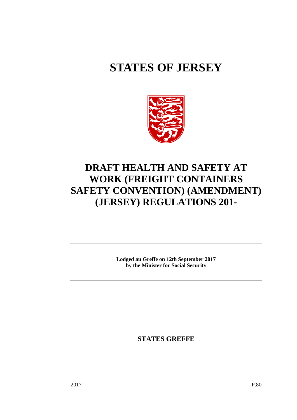# **STATES OF JERSEY**



## **DRAFT HEALTH AND SAFETY AT WORK (FREIGHT CONTAINERS SAFETY CONVENTION) (AMENDMENT) (JERSEY) REGULATIONS 201-**

**Lodged au Greffe on 12th September 2017 by the Minister for Social Security**

**STATES GREFFE**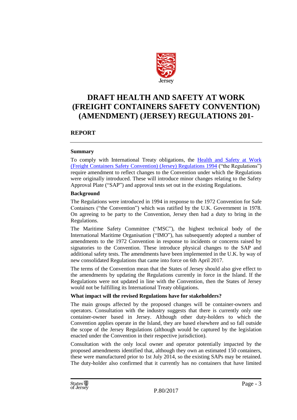

## **DRAFT HEALTH AND SAFETY AT WORK (FREIGHT CONTAINERS SAFETY CONVENTION) (AMENDMENT) (JERSEY) REGULATIONS 201-**

#### **REPORT**

#### **Summary**

To comply with International Treaty obligations, the [Health and Safety at Work](https://www.jerseylaw.je/laws/revised/Pages/05.300.40.aspx)  [\(Freight Containers Safety Convention\) \(Jersey\) Regulations 1994](https://www.jerseylaw.je/laws/revised/Pages/05.300.40.aspx) ("the Regulations") require amendment to reflect changes to the Convention under which the Regulations were originally introduced. These will introduce minor changes relating to the Safety Approval Plate ("SAP") and approval tests set out in the existing Regulations.

#### **Background**

The Regulations were introduced in 1994 in response to the 1972 Convention for Safe Containers ("the Convention") which was ratified by the U.K. Government in 1978. On agreeing to be party to the Convention, Jersey then had a duty to bring in the Regulations.

The Maritime Safety Committee ("MSC"), the highest technical body of the International Maritime Organisation ("IMO"), has subsequently adopted a number of amendments to the 1972 Convention in response to incidents or concerns raised by signatories to the Convention. These introduce physical changes to the SAP and additional safety tests. The amendments have been implemented in the U.K. by way of new consolidated Regulations that came into force on 6th April 2017.

The terms of the Convention mean that the States of Jersey should also give effect to the amendments by updating the Regulations currently in force in the Island. If the Regulations were not updated in line with the Convention, then the States of Jersey would not be fulfilling its International Treaty obligations.

#### **What impact will the revised Regulations have for stakeholders?**

The main groups affected by the proposed changes will be container-owners and operators. Consultation with the industry suggests that there is currently only one container-owner based in Jersey. Although other duty-holders to which the Convention applies operate in the Island, they are based elsewhere and so fall outside the scope of the Jersey Regulations (although would be captured by the legislation enacted under the Convention in their respective jurisdiction).

Consultation with the only local owner and operator potentially impacted by the proposed amendments identified that, although they own an estimated 150 containers, these were manufactured prior to 1st July 2014, so the existing SAPs may be retained. The duty-holder also confirmed that it currently has no containers that have limited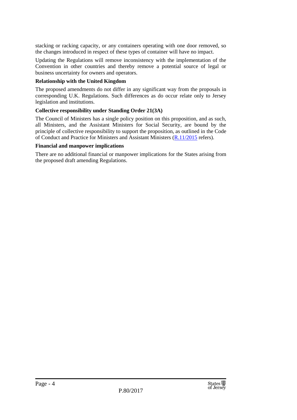stacking or racking capacity, or any containers operating with one door removed, so the changes introduced in respect of these types of container will have no impact.

Updating the Regulations will remove inconsistency with the implementation of the Convention in other countries and thereby remove a potential source of legal or business uncertainty for owners and operators.

#### **Relationship with the United Kingdom**

The proposed amendments do not differ in any significant way from the proposals in corresponding U.K. Regulations. Such differences as do occur relate only to Jersey legislation and institutions.

#### **Collective responsibility under Standing Order 21(3A)**

The Council of Ministers has a single policy position on this proposition, and as such, all Ministers, and the Assistant Ministers for Social Security, are bound by the principle of collective responsibility to support the proposition, as outlined in the Code of Conduct and Practice for Ministers and Assistant Ministers [\(R.11/2015](http://www.statesassembly.gov.je/AssemblyReports/2015/R.11-2015.pdf) refers).

#### **Financial and manpower implications**

There are no additional financial or manpower implications for the States arising from the proposed draft amending Regulations.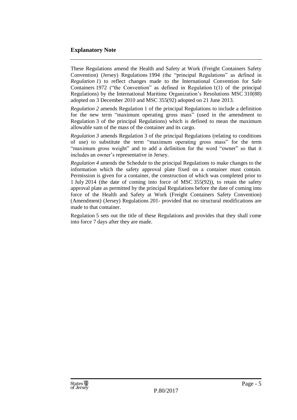#### **Explanatory Note**

These Regulations amend the Health and Safety at Work (Freight Containers Safety Convention) (Jersey) Regulations 1994 (the "principal Regulations" as defined in *Regulation 1*) to reflect changes made to the International Convention for Safe Containers 1972 ("the Convention" as defined in Regulation 1(1) of the principal Regulations) by the International Maritime Organization's Resolutions MSC 310(88) adopted on 3 December 2010 and MSC 355(92) adopted on 21 June 2013.

*Regulation 2* amends Regulation 1 of the principal Regulations to include a definition for the new term "maximum operating gross mass" (used in the amendment to Regulation 3 of the principal Regulations) which is defined to mean the maximum allowable sum of the mass of the container and its cargo.

*Regulation 3* amends Regulation 3 of the principal Regulations (relating to conditions of use) to substitute the term "maximum operating gross mass" for the term "maximum gross weight" and to add a definition for the word "owner" so that it includes an owner's representative in Jersey.

*Regulation 4* amends the Schedule to the principal Regulations to make changes to the information which the safety approval plate fixed on a container must contain. Permission is given for a container, the construction of which was completed prior to 1 July 2014 (the date of coming into force of MSC 355(92)), to retain the safety approval plate as permitted by the principal Regulations before the date of coming into force of the Health and Safety at Work (Freight Containers Safety Convention) (Amendment) (Jersey) Regulations 201- provided that no structural modifications are made to that container.

Regulation 5 sets out the title of these Regulations and provides that they shall come into force 7 days after they are made.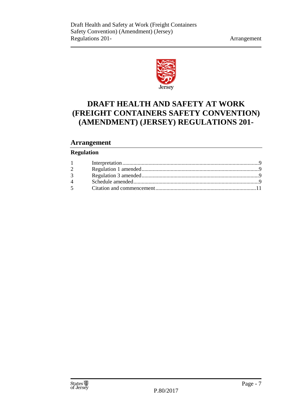

## **DRAFT HEALTH AND SAFETY AT WORK (FREIGHT CONTAINERS SAFETY CONVENTION) (AMENDMENT) (JERSEY) REGULATIONS 201-**

#### **Arrangement**

#### **Regulation**

| $\overline{2}$ |  |
|----------------|--|
| 3 <sup>1</sup> |  |
|                |  |
|                |  |
|                |  |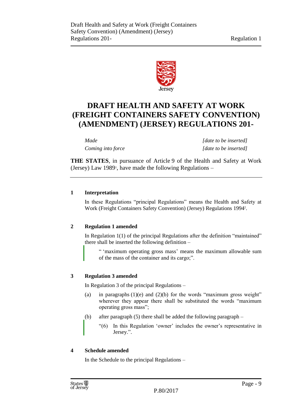

## **DRAFT HEALTH AND SAFETY AT WORK (FREIGHT CONTAINERS SAFETY CONVENTION) (AMENDMENT) (JERSEY) REGULATIONS 201-**

*Made [date to be inserted] Coming into force [date to be inserted]*

**THE STATES**, in pursuance of Article 9 of the Health and Safety at Work (Jersey) Law 1989<sup>1</sup> , have made the following Regulations –

#### <span id="page-8-0"></span>**1 Interpretation**

In these Regulations "principal Regulations" means the Health and Safety at Work (Freight Containers Safety Convention) (Jersey) Regulations 1994<sup>2</sup> .

#### <span id="page-8-1"></span>**2 Regulation 1 amended**

In Regulation 1(1) of the principal Regulations after the definition "maintained" there shall be inserted the following definition –

" 'maximum operating gross mass' means the maximum allowable sum of the mass of the container and its cargo;".

#### <span id="page-8-2"></span>**3 Regulation 3 amended**

In Regulation 3 of the principal Regulations –

- (a) in paragraphs  $(1)(e)$  and  $(2)(b)$  for the words "maximum gross weight" wherever they appear there shall be substituted the words "maximum operating gross mass";
- (b) after paragraph (5) there shall be added the following paragraph
	- "(6) In this Regulation 'owner' includes the owner's representative in Jersey.".

#### <span id="page-8-3"></span>**4 Schedule amended**

In the Schedule to the principal Regulations –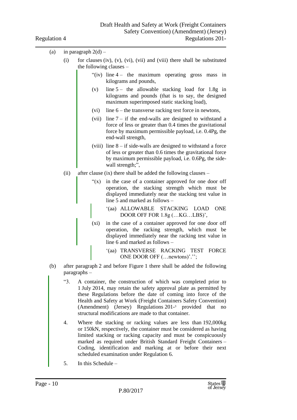| (a) | in paragraph $2(d)$ – |
|-----|-----------------------|
|-----|-----------------------|

- (i) for clauses (iv), (v), (vi), (vii) and (viii) there shall be substituted the following clauses –
	- " $(iv)$  line  $4 -$  the maximum operating gross mass in kilograms and pounds,
	- (v) line  $5 -$  the allowable stacking load for 1.8g in kilograms and pounds (that is to say, the designed maximum superimposed static stacking load),
	- (vi) line 6 the transverse racking test force in newtons,
	- (vii) line  $7 -$  if the end-walls are designed to withstand a force of less or greater than 0.4 times the gravitational force by maximum permissible payload, i.e. 0.4Pg, the end-wall strength,
	- (viii) line  $8 if$  side-walls are designed to withstand a force of less or greater than 0.6 times the gravitational force by maximum permissible payload, i.e. 0.6Pg, the sidewall strength;",
- (ii) after clause (ix) there shall be added the following clauses
	- "(x) in the case of a container approved for one door off operation, the stacking strength which must be displayed immediately near the stacking test value in line 5 and marked as follows –
		- '(aa) ALLOWABLE STACKING LOAD ONE DOOR OFF FOR 1.8g (…KG…LBS)',
	- (xi) in the case of a container approved for one door off operation, the racking strength, which must be displayed immediately near the racking test value in line 6 and marked as follows –
		- '(aa) TRANSVERSE RACKING TEST FORCE ONE DOOR OFF (…newtons)'.'';
- (b) after paragraph 2 and before Figure 1 there shall be added the following paragraphs –
	- "3. A container, the construction of which was completed prior to 1 July 2014, may retain the safety approval plate as permitted by these Regulations before the date of coming into force of the Health and Safety at Work (Freight Containers Safety Convention) (Amendment) (Jersey) Regulations 201- <sup>3</sup> provided that no structural modifications are made to that container.
	- 4. Where the stacking or racking values are less than 192,000kg or 150kN, respectively, the container must be considered as having limited stacking or racking capacity and must be conspicuously marked as required under British Standard Freight Containers – Coding, identification and marking at or before their next scheduled examination under Regulation 6.
	- 5. In this Schedule –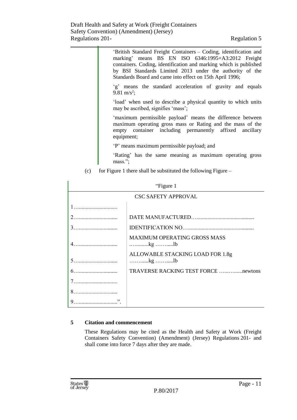|     | 'British Standard Freight Containers – Coding, identification and<br>marking' means BS EN ISO 6346:1995+A3:2012 Freight<br>containers. Coding, identification and marking which is published<br>by BSI Standards Limited 2013 under the authority of the<br>Standards Board and came into effect on 15th April 1996; |  |
|-----|----------------------------------------------------------------------------------------------------------------------------------------------------------------------------------------------------------------------------------------------------------------------------------------------------------------------|--|
|     | 'g' means the standard acceleration of gravity and equals<br>9.81 m/s <sup>2</sup> ;                                                                                                                                                                                                                                 |  |
|     | 'load' when used to describe a physical quantity to which units<br>may be ascribed, signifies 'mass';                                                                                                                                                                                                                |  |
|     | 'maximum permissible payload' means the difference between<br>maximum operating gross mass or Rating and the mass of the<br>empty container including permanently affixed ancillary<br>equipment;                                                                                                                    |  |
|     | 'P' means maximum permissible payload; and                                                                                                                                                                                                                                                                           |  |
|     | 'Rating' has the same meaning as maximum operating gross<br>mass.";                                                                                                                                                                                                                                                  |  |
| (c) | for Figure 1 there shall be substituted the following Figure $-$                                                                                                                                                                                                                                                     |  |

| "Figure 1"                 |                                              |  |  |  |
|----------------------------|----------------------------------------------|--|--|--|
| <b>CSC SAFETY APPROVAL</b> |                                              |  |  |  |
|                            |                                              |  |  |  |
|                            |                                              |  |  |  |
|                            |                                              |  |  |  |
|                            | <b>MAXIMUM OPERATING GROSS MASS</b><br>kg lb |  |  |  |
|                            | ALLOWABLE STACKING LOAD FOR 1.8g<br>kg lb    |  |  |  |
|                            |                                              |  |  |  |
|                            |                                              |  |  |  |
|                            |                                              |  |  |  |
|                            |                                              |  |  |  |

#### <span id="page-10-0"></span>**5 Citation and commencement**

These Regulations may be cited as the Health and Safety at Work (Freight Containers Safety Convention) (Amendment) (Jersey) Regulations 201- and shall come into force 7 days after they are made.